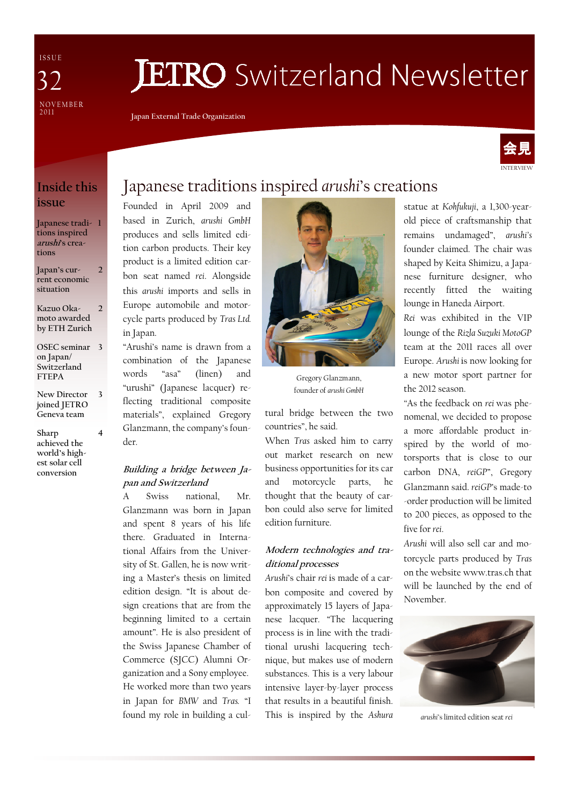I S S U E NOVEMBER<br>2011 37

# **JETRO** Switzerland Newsletter

Japan External Trade Organization



## Inside this issue

Japanese tradi-1 tions inspired arushi's creations

Japan's current economic situation  $\overline{\mathcal{L}}$ 

Kazuo Okamoto awarded by ETH Zurich  $\overline{\mathcal{L}}$ 

OSEC seminar 3 on Japan/ Switzerland FTEPA

New Director joined JETRO Geneva team 3

4

Sharp achieved the world's highest solar cell conversion

# Japanese traditions inspired arushi's creations

Founded in April 2009 and based in Zurich, arushi GmbH produces and sells limited edition carbon products. Their key product is a limited edition carbon seat named rei. Alongside this arushi imports and sells in Europe automobile and motorcycle parts produced by Tras Ltd. in Japan.

"Arushi's name is drawn from a combination of the Japanese words "asa" (linen) and "urushi" (Japanese lacquer) reflecting traditional composite materials", explained Gregory Glanzmann, the company's founder.

#### Building a bridge between Japan and Switzerland

A Swiss national, Mr. Glanzmann was born in Japan and spent 8 years of his life there. Graduated in International Affairs from the University of St. Gallen, he is now writing a Master's thesis on limited edition design. "It is about design creations that are from the beginning limited to a certain amount". He is also president of the Swiss Japanese Chamber of Commerce (SJCC) Alumni Organization and a Sony employee. He worked more than two years in Japan for BMW and Tras. "I found my role in building a cul-



Gregory Glanzmann, founder of arushi GmbH

tural bridge between the two countries", he said.

When Tras asked him to carry out market research on new business opportunities for its car and motorcycle parts, he thought that the beauty of carbon could also serve for limited edition furniture.

#### Modern technologies and traditional processes

Arushi's chair rei is made of a carbon composite and covered by approximately 15 layers of Japanese lacquer. "The lacquering process is in line with the traditional urushi lacquering technique, but makes use of modern substances. This is a very labour intensive layer-by-layer process that results in a beautiful finish. This is inspired by the Ashura statue at Kohfukuji, a 1,300-yearold piece of craftsmanship that remains undamaged", arushi's founder claimed. The chair was shaped by Keita Shimizu, a Japanese furniture designer, who recently fitted the waiting lounge in Haneda Airport.

Rei was exhibited in the VIP lounge of the Rizla Suzuki MotoGP team at the 2011 races all over Europe. Arushi is now looking for a new motor sport partner for the 2012 season.

"As the feedback on rei was phenomenal, we decided to propose a more affordable product inspired by the world of motorsports that is close to our carbon DNA, reiGP", Gregory Glanzmann said. reiGP's made-to -order production will be limited to 200 pieces, as opposed to the five for rei.

Arushi will also sell car and motorcycle parts produced by Tras on the website www.tras.ch that will be launched by the end of November.



arushi's limited edition seat rei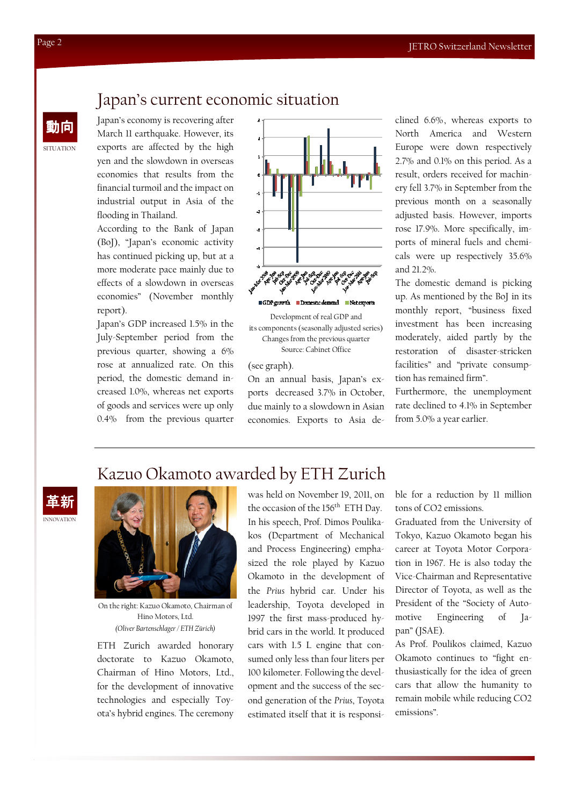## Japan's current economic situation

Japan's economy is recovering after March 11 earthquake. However, its exports are affected by the high yen and the slowdown in overseas economies that results from the financial turmoil and the impact on industrial output in Asia of the flooding in Thailand.

According to the Bank of Japan (BoJ), "Japan's economic activity has continued picking up, but at a more moderate pace mainly due to effects of a slowdown in overseas economies" (November monthly report).

Japan's GDP increased 1.5% in the July-September period from the previous quarter, showing a 6% rose at annualized rate. On this period, the domestic demand increased 1.0%, whereas net exports of goods and services were up only 0.4% from the previous quarter



Development of real GDP and its components (seasonally adjusted series) Changes from the previous quarter Source: Cabinet Office

#### (see graph).

On an annual basis, Japan's exports decreased 3.7% in October, due mainly to a slowdown in Asian economies. Exports to Asia declined 6.6%, whereas exports to North America and Western Europe were down respectively 2.7% and 0.1% on this period. As a result, orders received for machinery fell 3.7% in September from the previous month on a seasonally adjusted basis. However, imports rose 17.9%. More specifically, imports of mineral fuels and chemicals were up respectively 35.6% and 21.2%.

The domestic demand is picking up. As mentioned by the BoJ in its monthly report, "business fixed investment has been increasing moderately, aided partly by the restoration of disaster-stricken facilities" and "private consumption has remained firm".

Furthermore, the unemployment rate declined to 4.1% in September from 5.0% a year earlier.

## Kazuo Okamoto awarded by ETH Zurich





On the right: Kazuo Okamoto, Chairman of Hino Motors, Ltd. (Oliver Bartenschlager / ETH Zürich)

ETH Zurich awarded honorary doctorate to Kazuo Okamoto, Chairman of Hino Motors, Ltd., for the development of innovative technologies and especially Toyota's hybrid engines. The ceremony was held on November 19, 2011, on the occasion of the 156<sup>th</sup> ETH Day. In his speech, Prof. Dimos Poulikakos (Department of Mechanical and Process Engineering) emphasized the role played by Kazuo Okamoto in the development of the Prius hybrid car. Under his leadership, Toyota developed in 1997 the first mass-produced hybrid cars in the world. It produced cars with 1.5 L engine that consumed only less than four liters per 100 kilometer. Following the development and the success of the second generation of the Prius, Toyota estimated itself that it is responsible for a reduction by 11 million tons of CO2 emissions.

Graduated from the University of Tokyo, Kazuo Okamoto began his career at Toyota Motor Corporation in 1967. He is also today the Vice-Chairman and Representative Director of Toyota, as well as the President of the "Society of Automotive Engineering of Japan" (JSAE).

As Prof. Poulikos claimed, Kazuo Okamoto continues to "fight enthusiastically for the idea of green cars that allow the humanity to remain mobile while reducing CO2 emissions".

**SITUATION** 

動向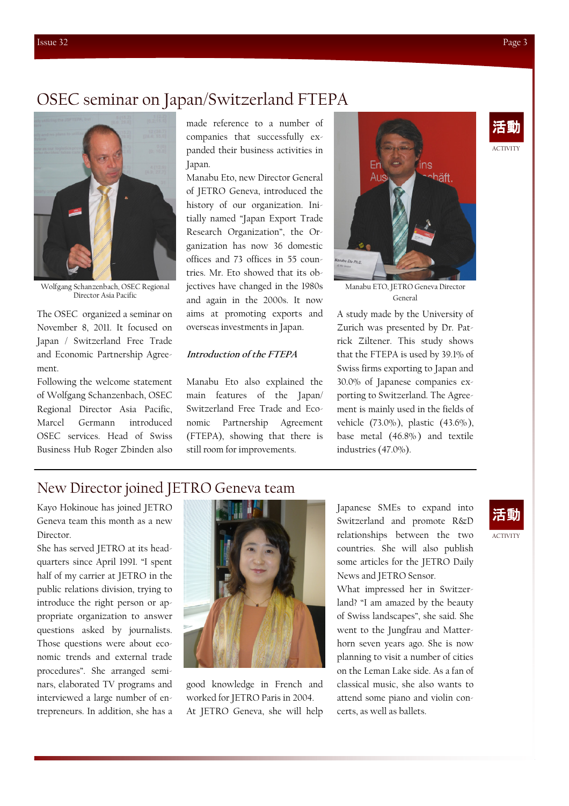## OSEC seminar on Japan/Switzerland FTEPA



Wolfgang Schanzenbach, OSEC Regional Director Asia Pacific

The OSEC organized a seminar on November 8, 2011. It focused on Japan / Switzerland Free Trade and Economic Partnership Agreement.

Following the welcome statement of Wolfgang Schanzenbach, OSEC Regional Director Asia Pacific, Marcel Germann introduced OSEC services. Head of Swiss Business Hub Roger Zbinden also

made reference to a number of companies that successfully expanded their business activities in Japan.

Manabu Eto, new Director General of JETRO Geneva, introduced the history of our organization. Initially named "Japan Export Trade Research Organization", the Organization has now 36 domestic offices and 73 offices in 55 countries. Mr. Eto showed that its objectives have changed in the 1980s and again in the 2000s. It now aims at promoting exports and overseas investments in Japan.

#### Introduction of the FTEPA

Manabu Eto also explained the main features of the Japan/ Switzerland Free Trade and Economic Partnership Agreement (FTEPA), showing that there is still room for improvements.



Manabu ETO, JETRO Geneva Director General

A study made by the University of Zurich was presented by Dr. Patrick Ziltener. This study shows that the FTEPA is used by 39.1% of Swiss firms exporting to Japan and 30.0% of Japanese companies exporting to Switzerland. The Agreement is mainly used in the fields of vehicle (73.0%), plastic (43.6%), base metal (46.8%) and textile industries (47.0%).

### New Director joined JETRO Geneva team

Kayo Hokinoue has joined JETRO Geneva team this month as a new Director.

She has served JETRO at its headquarters since April 1991. "I spent half of my carrier at JETRO in the public relations division, trying to introduce the right person or appropriate organization to answer questions asked by journalists. Those questions were about economic trends and external trade procedures". She arranged seminars, elaborated TV programs and interviewed a large number of entrepreneurs. In addition, she has a



good knowledge in French and worked for JETRO Paris in 2004. At JETRO Geneva, she will help

Japanese SMEs to expand into Switzerland and promote R&D relationships between the two countries. She will also publish some articles for the JETRO Daily News and JETRO Sensor.

What impressed her in Switzerland? "I am amazed by the beauty of Swiss landscapes", she said. She went to the Jungfrau and Matterhorn seven years ago. She is now planning to visit a number of cities on the Leman Lake side. As a fan of classical music, she also wants to attend some piano and violin concerts, as well as ballets.

# 活動

ACTIVITY

ACTIVITY

活動